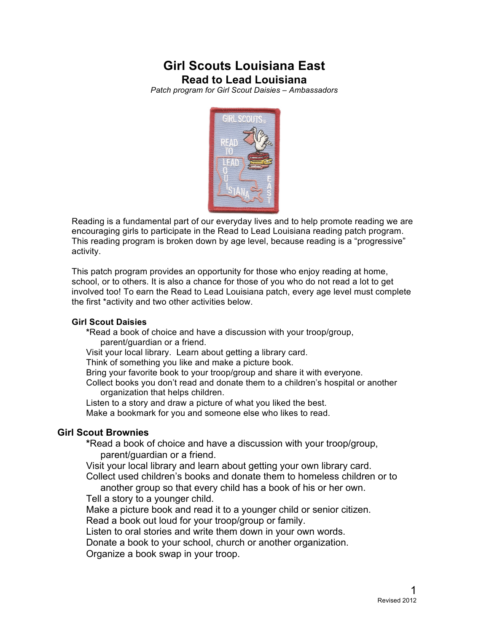# **Girl Scouts Louisiana East Read to Lead Louisiana**

*Patch program for Girl Scout Daisies – Ambassadors*



Reading is a fundamental part of our everyday lives and to help promote reading we are encouraging girls to participate in the Read to Lead Louisiana reading patch program. This reading program is broken down by age level, because reading is a "progressive" activity.

This patch program provides an opportunity for those who enjoy reading at home, school, or to others. It is also a chance for those of you who do not read a lot to get involved too! To earn the Read to Lead Louisiana patch, every age level must complete the first \*activity and two other activities below.

#### **Girl Scout Daisies**

**\***Read a book of choice and have a discussion with your troop/group, parent/guardian or a friend.

Visit your local library. Learn about getting a library card.

Think of something you like and make a picture book.

Bring your favorite book to your troop/group and share it with everyone.

Collect books you don't read and donate them to a children's hospital or another organization that helps children.

Listen to a story and draw a picture of what you liked the best. Make a bookmark for you and someone else who likes to read.

### **Girl Scout Brownies**

**\***Read a book of choice and have a discussion with your troop/group, parent/guardian or a friend.

Visit your local library and learn about getting your own library card.

Collect used children's books and donate them to homeless children or to another group so that every child has a book of his or her own.

Tell a story to a younger child.

Make a picture book and read it to a younger child or senior citizen.

Read a book out loud for your troop/group or family.

Listen to oral stories and write them down in your own words.

Donate a book to your school, church or another organization.

Organize a book swap in your troop.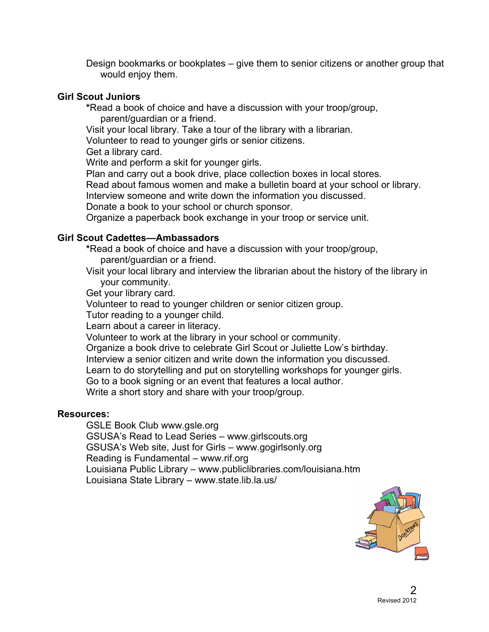Design bookmarks or bookplates – give them to senior citizens or another group that would enjoy them.

#### **Girl Scout Juniors**

**\***Read a book of choice and have a discussion with your troop/group, parent/guardian or a friend.

Visit your local library. Take a tour of the library with a librarian.

Volunteer to read to younger girls or senior citizens.

Get a library card.

Write and perform a skit for younger girls.

Plan and carry out a book drive, place collection boxes in local stores.

Read about famous women and make a bulletin board at your school or library.

Interview someone and write down the information you discussed.

Donate a book to your school or church sponsor.

Organize a paperback book exchange in your troop or service unit.

### **Girl Scout Cadettes—Ambassadors**

**\***Read a book of choice and have a discussion with your troop/group, parent/guardian or a friend.

Visit your local library and interview the librarian about the history of the library in your community.

Get your library card.

Volunteer to read to younger children or senior citizen group.

Tutor reading to a younger child.

Learn about a career in literacy.

Volunteer to work at the library in your school or community.

Organize a book drive to celebrate Girl Scout or Juliette Low's birthday.

Interview a senior citizen and write down the information you discussed.

Learn to do storytelling and put on storytelling workshops for younger girls.

Go to a book signing or an event that features a local author.

Write a short story and share with your troop/group.

### **Resources:**

GSLE Book Club www.gsle.org GSUSA's Read to Lead Series – www.girlscouts.org GSUSA's Web site, Just for Girls – www.gogirlsonly.org Reading is Fundamental – www.rif.org Louisiana Public Library – www.publiclibraries.com/louisiana.htm Louisiana State Library – www.state.lib.la.us/